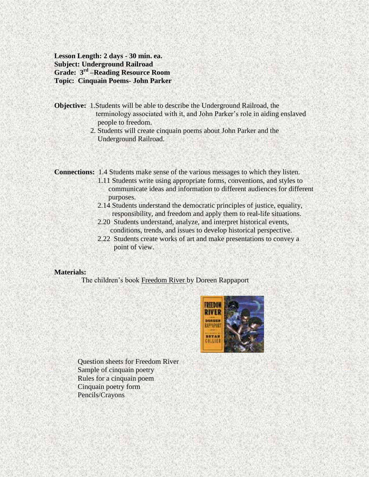**Lesson Length: 2 days - 30 min. ea. Subject: Underground Railroad Grade: 3rd –Reading Resource Room Topic: Cinquain Poems- John Parker**

- **Objective:** 1.Students will be able to describe the Underground Railroad, the terminology associated with it, and John Parker's role in aiding enslaved people to freedom.
	- 2. Students will create cinquain poems about John Parker and the Underground Railroad.

**Connections:** 1.4 Students make sense of the various messages to which they listen.

- 1.11 Students write using appropriate forms, conventions, and styles to communicate ideas and information to different audiences for different purposes.
- 2.14 Students understand the democratic principles of justice, equality, responsibility, and freedom and apply them to real-life situations.
- 2.20 Students understand, analyze, and interpret historical events, conditions, trends, and issues to develop historical perspective.
- 2.22 Students create works of art and make presentations to convey a point of view.

#### **Materials:**

The children's book Freedom River by Doreen Rappaport



 Question sheets for Freedom River Sample of cinquain poetry Rules for a cinquain poem Cinquain poetry form Pencils/Crayons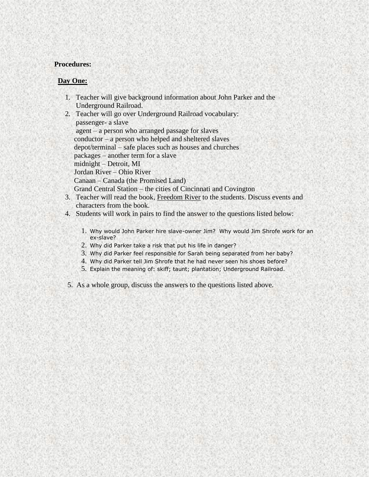### **Procedures:**

### **Day One:**

- 1. Teacher will give background information about John Parker and the Underground Railroad.
- 2. Teacher will go over Underground Railroad vocabulary: passenger- a slave agent – a person who arranged passage for slaves conductor – a person who helped and sheltered slaves depot/terminal – safe places such as houses and churches packages – another term for a slave midnight – Detroit, MI Jordan River – Ohio River Canaan – Canada (the Promised Land) Grand Central Station – the cities of Cincinnati and Covington
- 3. Teacher will read the book, Freedom River to the students. Discuss events and characters from the book.
- 4. Students will work in pairs to find the answer to the questions listed below:
	- 1. Why would John Parker hire slave-owner Jim? Why would Jim Shrofe work for an ex-slave?
	- 2. Why did Parker take a risk that put his life in danger?
	- 3. Why did Parker feel responsible for Sarah being separated from her baby?
	- 4. Why did Parker tell Jim Shrofe that he had never seen his shoes before?
	- 5. Explain the meaning of: skiff; taunt; plantation; Underground Railroad.
- 5. As a whole group, discuss the answers to the questions listed above.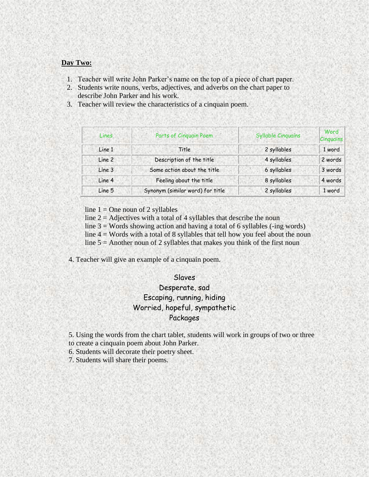#### **Day Two:**

- 1. Teacher will write John Parker's name on the top of a piece of chart paper.
- 2. Students write nouns, verbs, adjectives, and adverbs on the chart paper to describe John Parker and his work.
- 3. Teacher will review the characteristics of a cinquain poem.

| Lines  | Parts of Cinquain Poem           | <b>Syllable Cinquains</b> | Word<br>Cinguains |
|--------|----------------------------------|---------------------------|-------------------|
| Line 1 | Title                            | 2 syllables               | 1 word            |
| Line 2 | Description of the title         | 4 syllables               | 2 words           |
| Line 3 | Some action about the title      | 6 syllables               | 3 words           |
| Line 4 | Feeling about the title          | 8 syllables               | 4 words           |
| Line 5 | Synonym (similar word) for title | 2 syllables               | 1 word            |

line  $1 =$ One noun of 2 syllables

line  $2 = \text{Adjectives with a total of 4 syllables that describe the noun}$ 

line  $3 =$  Words showing action and having a total of 6 syllables (-ing words)

line  $4 =$  Words with a total of 8 syllables that tell how you feel about the noun

line  $5 =$  Another noun of 2 syllables that makes you think of the first noun

4. Teacher will give an example of a cinquain poem.

#### Slaves

# Desperate, sad Escaping, running, hiding Worried, hopeful, sympathetic Packages

5. Using the words from the chart tablet, students will work in groups of two or three to create a cinquain poem about John Parker.

6. Students will decorate their poetry sheet.

7. Students will share their poems.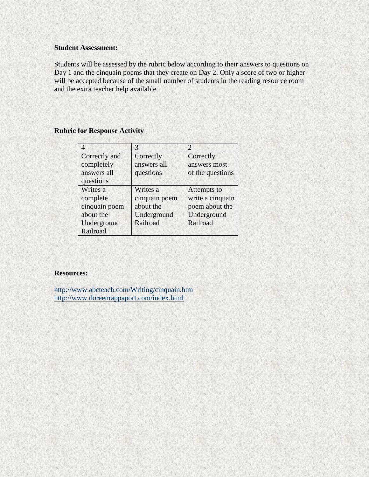## **Student Assessment:**

Students will be assessed by the rubric below according to their answers to questions on Day 1 and the cinquain poems that they create on Day 2. Only a score of two or higher will be accepted because of the small number of students in the reading resource room and the extra teacher help available.

# **Rubric for Response Activity**

|                                                                               | 3                                                                 | $\mathcal{D}$                                                                |
|-------------------------------------------------------------------------------|-------------------------------------------------------------------|------------------------------------------------------------------------------|
| Correctly and<br>completely                                                   | Correctly<br>answers all                                          | Correctly<br>answers most                                                    |
| answers all<br>questions                                                      | questions                                                         | of the questions                                                             |
| Writes a<br>complete<br>cinquain poem<br>about the<br>Underground<br>Railroad | Writes a<br>cinquain poem<br>about the<br>Underground<br>Railroad | Attempts to<br>write a cinquain<br>poem about the<br>Underground<br>Railroad |

## **Resources:**

<http://www.abcteach.com/Writing/cinquain.htm> <http://www.doreenrappaport.com/index.html>